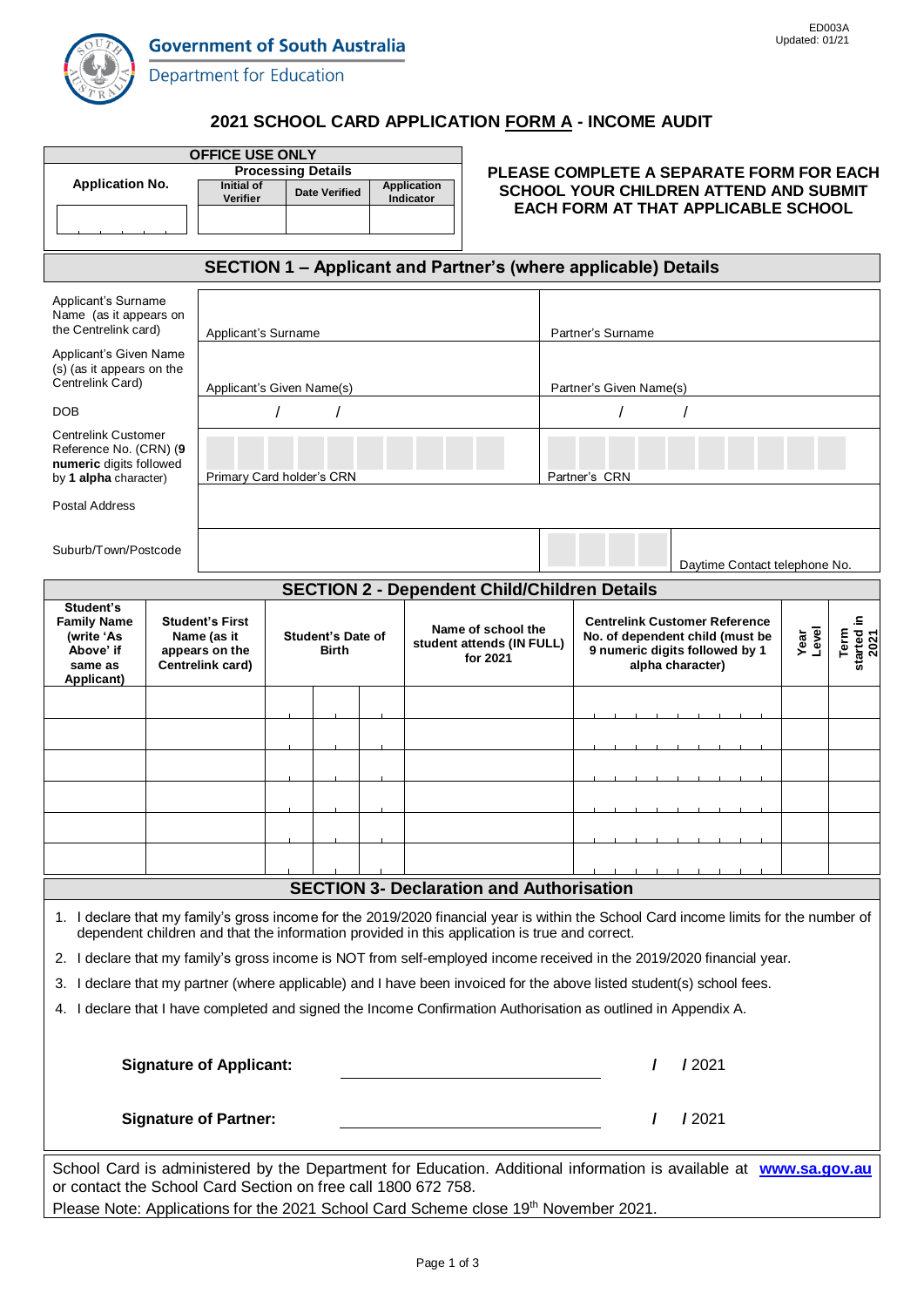

Department for Education

### **2021 SCHOOL CARD APPLICATION FORM A - INCOME AUDIT**

| <b>OFFICE USE ONLY</b>                                                                                                                                                                                                                 |                                                               |                                                         |  |                                   |  |                                                 |                                          |                                                                                             |                                                                                                                                    |                    |  |  |
|----------------------------------------------------------------------------------------------------------------------------------------------------------------------------------------------------------------------------------------|---------------------------------------------------------------|---------------------------------------------------------|--|-----------------------------------|--|-------------------------------------------------|------------------------------------------|---------------------------------------------------------------------------------------------|------------------------------------------------------------------------------------------------------------------------------------|--------------------|--|--|
| <b>Application No.</b>                                                                                                                                                                                                                 | <b>Processing Details</b><br>Initial of<br><b>Application</b> |                                                         |  |                                   |  |                                                 | PLEASE COMPLETE A SEPARATE FORM FOR EACH |                                                                                             |                                                                                                                                    |                    |  |  |
|                                                                                                                                                                                                                                        |                                                               | <b>Date Verified</b><br>Verifier<br>Indicator           |  |                                   |  |                                                 |                                          | <b>SCHOOL YOUR CHILDREN ATTEND AND SUBMIT</b><br><b>EACH FORM AT THAT APPLICABLE SCHOOL</b> |                                                                                                                                    |                    |  |  |
|                                                                                                                                                                                                                                        |                                                               |                                                         |  |                                   |  |                                                 |                                          |                                                                                             |                                                                                                                                    |                    |  |  |
| SECTION 1 - Applicant and Partner's (where applicable) Details                                                                                                                                                                         |                                                               |                                                         |  |                                   |  |                                                 |                                          |                                                                                             |                                                                                                                                    |                    |  |  |
| Applicant's Surname                                                                                                                                                                                                                    |                                                               |                                                         |  |                                   |  |                                                 |                                          |                                                                                             |                                                                                                                                    |                    |  |  |
| Name (as it appears on<br>the Centrelink card)                                                                                                                                                                                         |                                                               | Applicant's Surname                                     |  |                                   |  |                                                 |                                          | Partner's Surname                                                                           |                                                                                                                                    |                    |  |  |
| Applicant's Given Name<br>(s) (as it appears on the<br>Centrelink Card)                                                                                                                                                                |                                                               |                                                         |  |                                   |  |                                                 |                                          |                                                                                             |                                                                                                                                    |                    |  |  |
|                                                                                                                                                                                                                                        |                                                               | Applicant's Given Name(s)                               |  |                                   |  |                                                 |                                          |                                                                                             | Partner's Given Name(s)                                                                                                            |                    |  |  |
| <b>DOB</b>                                                                                                                                                                                                                             |                                                               |                                                         |  |                                   |  |                                                 |                                          |                                                                                             |                                                                                                                                    |                    |  |  |
| <b>Centrelink Customer</b><br>Reference No. (CRN) (9<br>numeric digits followed<br>by 1 alpha character)                                                                                                                               |                                                               | Primary Card holder's CRN                               |  |                                   |  |                                                 |                                          |                                                                                             | Partner's CRN                                                                                                                      |                    |  |  |
| <b>Postal Address</b>                                                                                                                                                                                                                  |                                                               |                                                         |  |                                   |  |                                                 |                                          |                                                                                             |                                                                                                                                    |                    |  |  |
|                                                                                                                                                                                                                                        |                                                               |                                                         |  |                                   |  |                                                 |                                          |                                                                                             |                                                                                                                                    |                    |  |  |
| Suburb/Town/Postcode                                                                                                                                                                                                                   |                                                               |                                                         |  |                                   |  |                                                 |                                          |                                                                                             | Daytime Contact telephone No.                                                                                                      |                    |  |  |
| <b>SECTION 2 - Dependent Child/Children Details</b>                                                                                                                                                                                    |                                                               |                                                         |  |                                   |  |                                                 |                                          |                                                                                             |                                                                                                                                    |                    |  |  |
| Student's<br><b>Family Name</b><br>(write 'As<br>Above' if<br>same as<br>Applicant)                                                                                                                                                    |                                                               | <b>Student's First</b><br>Name (as it<br>appears on the |  | <b>Student's Date of</b><br>Birth |  | Name of school the<br>student attends (IN FULL) |                                          |                                                                                             | <b>Centrelink Customer Reference</b><br>Level<br>Term<br>Year<br>No. of dependent child (must be<br>9 numeric digits followed by 1 | started in<br>2021 |  |  |
|                                                                                                                                                                                                                                        |                                                               | Centrelink card)                                        |  |                                   |  | for 2021                                        |                                          |                                                                                             | alpha character)                                                                                                                   |                    |  |  |
|                                                                                                                                                                                                                                        |                                                               |                                                         |  |                                   |  |                                                 |                                          |                                                                                             |                                                                                                                                    |                    |  |  |
|                                                                                                                                                                                                                                        |                                                               |                                                         |  |                                   |  |                                                 |                                          |                                                                                             |                                                                                                                                    |                    |  |  |
|                                                                                                                                                                                                                                        |                                                               |                                                         |  |                                   |  |                                                 |                                          |                                                                                             |                                                                                                                                    |                    |  |  |
|                                                                                                                                                                                                                                        |                                                               |                                                         |  |                                   |  |                                                 |                                          |                                                                                             |                                                                                                                                    |                    |  |  |
|                                                                                                                                                                                                                                        |                                                               |                                                         |  |                                   |  |                                                 |                                          |                                                                                             |                                                                                                                                    |                    |  |  |
|                                                                                                                                                                                                                                        |                                                               |                                                         |  |                                   |  |                                                 |                                          |                                                                                             |                                                                                                                                    |                    |  |  |
|                                                                                                                                                                                                                                        |                                                               |                                                         |  |                                   |  |                                                 |                                          |                                                                                             |                                                                                                                                    |                    |  |  |
| <b>SECTION 3- Declaration and Authorisation</b>                                                                                                                                                                                        |                                                               |                                                         |  |                                   |  |                                                 |                                          |                                                                                             |                                                                                                                                    |                    |  |  |
| 1. I declare that my family's gross income for the 2019/2020 financial year is within the School Card income limits for the number of<br>dependent children and that the information provided in this application is true and correct. |                                                               |                                                         |  |                                   |  |                                                 |                                          |                                                                                             |                                                                                                                                    |                    |  |  |
| 2. I declare that my family's gross income is NOT from self-employed income received in the 2019/2020 financial year.                                                                                                                  |                                                               |                                                         |  |                                   |  |                                                 |                                          |                                                                                             |                                                                                                                                    |                    |  |  |
| I declare that my partner (where applicable) and I have been invoiced for the above listed student(s) school fees.<br>З.                                                                                                               |                                                               |                                                         |  |                                   |  |                                                 |                                          |                                                                                             |                                                                                                                                    |                    |  |  |
| I declare that I have completed and signed the Income Confirmation Authorisation as outlined in Appendix A.<br>4.                                                                                                                      |                                                               |                                                         |  |                                   |  |                                                 |                                          |                                                                                             |                                                                                                                                    |                    |  |  |
|                                                                                                                                                                                                                                        |                                                               |                                                         |  |                                   |  |                                                 |                                          |                                                                                             |                                                                                                                                    |                    |  |  |
| <b>Signature of Applicant:</b>                                                                                                                                                                                                         |                                                               |                                                         |  |                                   |  |                                                 |                                          |                                                                                             | 12021                                                                                                                              |                    |  |  |
| <b>Signature of Partner:</b>                                                                                                                                                                                                           |                                                               |                                                         |  |                                   |  |                                                 |                                          |                                                                                             | 12021                                                                                                                              |                    |  |  |
| School Card is administered by the Department for Education. Additional information is available at www.sa.gov.au                                                                                                                      |                                                               |                                                         |  |                                   |  |                                                 |                                          |                                                                                             |                                                                                                                                    |                    |  |  |
| or contact the School Card Section on free call 1800 672 758.                                                                                                                                                                          |                                                               |                                                         |  |                                   |  |                                                 |                                          |                                                                                             |                                                                                                                                    |                    |  |  |

Please Note: Applications for the 2021 School Card Scheme close 19<sup>th</sup> November 2021.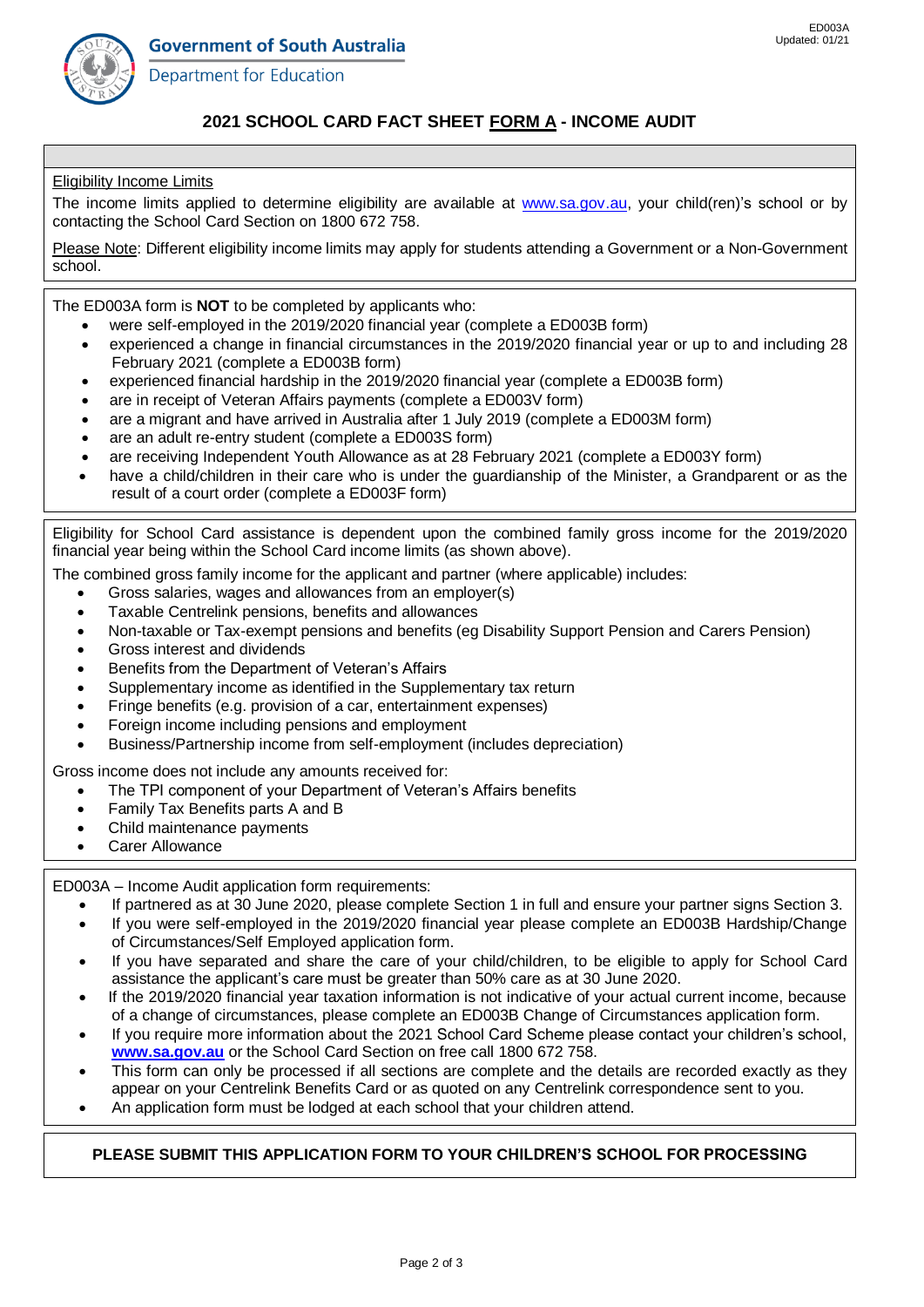

Department for Education

# **2021 SCHOOL CARD FACT SHEET FORM A - INCOME AUDIT**

#### Eligibility Income Limits

The income limits applied to determine eligibility are available at [www.sa.gov.au,](http://www.sa.gov.au/) your child(ren)'s school or by contacting the School Card Section on 1800 672 758.

Please Note: Different eligibility income limits may apply for students attending a Government or a Non-Government school.

The ED003A form is **NOT** to be completed by applicants who:

- were self-employed in the 2019/2020 financial year (complete a ED003B form)
- experienced a change in financial circumstances in the 2019/2020 financial year or up to and including 28 February 2021 (complete a ED003B form)
- experienced financial hardship in the 2019/2020 financial year (complete a ED003B form)
- are in receipt of Veteran Affairs payments (complete a ED003V form)
- are a migrant and have arrived in Australia after 1 July 2019 (complete a ED003M form)
- are an adult re-entry student (complete a ED003S form)
- are receiving Independent Youth Allowance as at 28 February 2021 (complete a ED003Y form)
- have a child/children in their care who is under the guardianship of the Minister, a Grandparent or as the result of a court order (complete a ED003F form)

Eligibility for School Card assistance is dependent upon the combined family gross income for the 2019/2020 financial year being within the School Card income limits (as shown above).

The combined gross family income for the applicant and partner (where applicable) includes:

- Gross salaries, wages and allowances from an employer(s)
- Taxable Centrelink pensions, benefits and allowances
- Non-taxable or Tax-exempt pensions and benefits (eg Disability Support Pension and Carers Pension)
- Gross interest and dividends
- Benefits from the Department of Veteran's Affairs
- Supplementary income as identified in the Supplementary tax return
- Fringe benefits (e.g. provision of a car, entertainment expenses)
- Foreign income including pensions and employment
- Business/Partnership income from self-employment (includes depreciation)

Gross income does not include any amounts received for:

- The TPI component of your Department of Veteran's Affairs benefits
- Family Tax Benefits parts A and B
- Child maintenance payments
- Carer Allowance

ED003A – Income Audit application form requirements:

- If partnered as at 30 June 2020, please complete Section 1 in full and ensure your partner signs Section 3.
- If you were self-employed in the 2019/2020 financial year please complete an ED003B Hardship/Change of Circumstances/Self Employed application form.
- If you have separated and share the care of your child/children, to be eligible to apply for School Card assistance the applicant's care must be greater than 50% care as at 30 June 2020.
- If the 2019/2020 financial year taxation information is not indicative of your actual current income, because of a change of circumstances, please complete an ED003B Change of Circumstances application form.
- If you require more information about the 2021 School Card Scheme please contact your children's school, **[www.sa.gov.au](http://www.decd.sa.gov.au/goldbook/)** or the School Card Section on free call 1800 672 758.
- This form can only be processed if all sections are complete and the details are recorded exactly as they appear on your Centrelink Benefits Card or as quoted on any Centrelink correspondence sent to you.
- An application form must be lodged at each school that your children attend.

#### **PLEASE SUBMIT THIS APPLICATION FORM TO YOUR CHILDREN'S SCHOOL FOR PROCESSING**